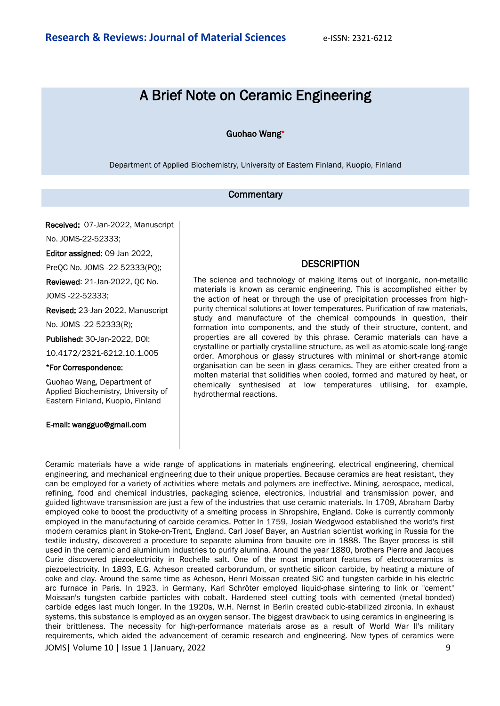## A Brief Note on Ceramic Engineering

## Guohao Wang\*

Department of Applied Biochemistry, University of Eastern Finland, Kuopio, Finland

## **Commentary**

Received: 07-Jan-2022, Manuscript

No. JOMS-22-52333;

Editor assigned: 09-Jan-2022,

PreQC No. JOMS -22-52333(PQ);

Reviewed: 21-Jan-2022, QC No.

JOMS -22-52333;

Revised: 23-Jan-2022, Manuscript

No. JOMS -22-52333(R);

Published: 30-Jan-2022, DOI:

10.4172/2321-6212.10.1.005

\*For Correspondence:

Guohao Wang, Department of Applied Biochemistry, University of Eastern Finland, Kuopio, Finland

E-mail: wangguo@gmail.com

## **DESCRIPTION**

The science and technology of making items out of inorganic, non-metallic materials is known as ceramic engineering. This is accomplished either by the action of heat or through the use of precipitation processes from highpurity chemical solutions at lower temperatures. Purification of raw materials, study and manufacture of the chemical compounds in question, their formation into components, and the study of their structure, content, and properties are all covered by this phrase. Ceramic materials can have a crystalline or partially crystalline structure, as well as atomic-scale long-range order. Amorphous or glassy structures with minimal or short-range atomic organisation can be seen in glass ceramics. They are either created from a molten material that solidifies when cooled, formed and matured by heat, or chemically synthesised at low temperatures utilising, for example, hydrothermal reactions.

JOMS| Volume 10 | Issue 1 |January, 2022 9 Ceramic materials have a wide range of applications in materials engineering, electrical engineering, chemical engineering, and mechanical engineering due to their unique properties. Because ceramics are heat resistant, they can be employed for a variety of activities where metals and polymers are ineffective. Mining, aerospace, medical, refining, food and chemical industries, packaging science, electronics, industrial and transmission power, and guided lightwave transmission are just a few of the industries that use ceramic materials. In 1709, Abraham Darby employed coke to boost the productivity of a smelting process in Shropshire, England. Coke is currently commonly employed in the manufacturing of carbide ceramics. Potter In 1759, Josiah Wedgwood established the world's first modern ceramics plant in Stoke-on-Trent, England. Carl Josef Bayer, an Austrian scientist working in Russia for the textile industry, discovered a procedure to separate alumina from bauxite ore in 1888. The Bayer process is still used in the ceramic and aluminium industries to purify alumina. Around the year 1880, brothers Pierre and Jacques Curie discovered piezoelectricity in Rochelle salt. One of the most important features of electroceramics is piezoelectricity. In 1893, E.G. Acheson created carborundum, or synthetic silicon carbide, by heating a mixture of coke and clay. Around the same time as Acheson, Henri Moissan created SiC and tungsten carbide in his electric arc furnace in Paris. In 1923, in Germany, Karl Schröter employed liquid-phase sintering to link or "cement" Moissan's tungsten carbide particles with cobalt. Hardened steel cutting tools with cemented (metal-bonded) carbide edges last much longer. In the 1920s, W.H. Nernst in Berlin created cubic-stabilized zirconia. In exhaust systems, this substance is employed as an oxygen sensor. The biggest drawback to using ceramics in engineering is their brittleness. The necessity for high-performance materials arose as a result of World War II's military requirements, which aided the advancement of ceramic research and engineering. New types of ceramics were